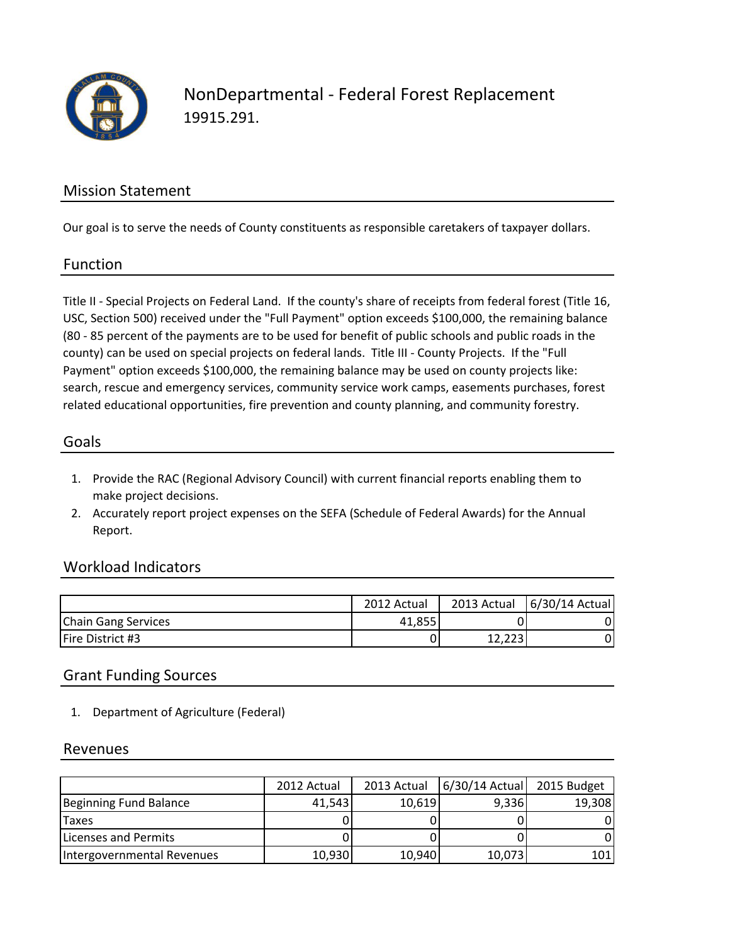

NonDepartmental - Federal Forest Replacement 19915.291.

# Mission Statement

Our goal is to serve the needs of County constituents as responsible caretakers of taxpayer dollars.

## Function

Title II - Special Projects on Federal Land. If the county's share of receipts from federal forest (Title 16, USC, Section 500) received under the "Full Payment" option exceeds \$100,000, the remaining balance (80 - 85 percent of the payments are to be used for benefit of public schools and public roads in the county) can be used on special projects on federal lands. Title III - County Projects. If the "Full Payment" option exceeds \$100,000, the remaining balance may be used on county projects like: search, rescue and emergency services, community service work camps, easements purchases, forest related educational opportunities, fire prevention and county planning, and community forestry.

#### Goals

- 1. Provide the RAC (Regional Advisory Council) with current financial reports enabling them to make project decisions.
- 2. Accurately report project expenses on the SEFA (Schedule of Federal Awards) for the Annual Report.

## Workload Indicators

|                            | 2012 Actual | 2013 Actual     | 6/30/14 Actual |
|----------------------------|-------------|-----------------|----------------|
| <b>Chain Gang Services</b> | 41,855      |                 |                |
| Fire District #3           | 0           | 1 ລາລ<br>14,449 |                |

#### Grant Funding Sources

1. Department of Agriculture (Federal)

#### Revenues

|                            | 2012 Actual | 2013 Actual | $6/30/14$ Actual | 2015 Budget |
|----------------------------|-------------|-------------|------------------|-------------|
| Beginning Fund Balance     | 41,543      | 10,619      | 9,336            | 19,308      |
| <b>Taxes</b>               |             |             |                  |             |
| Licenses and Permits       |             |             |                  |             |
| Intergovernmental Revenues | 10,930      | 10,940      | 10,073           | 101         |